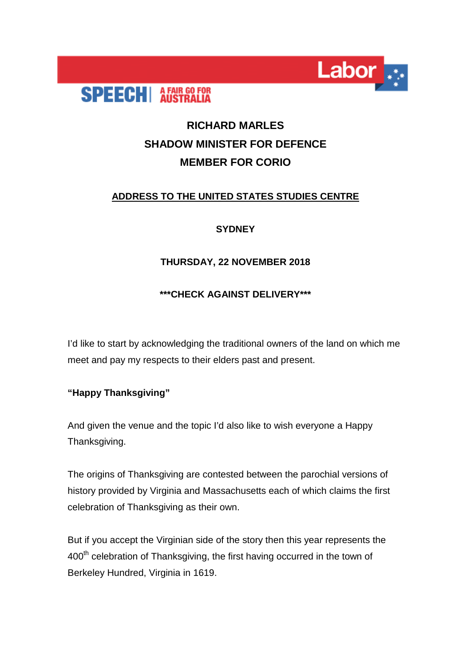



# **RICHARD MARLES SHADOW MINISTER FOR DEFENCE MEMBER FOR CORIO**

### **ADDRESS TO THE UNITED STATES STUDIES CENTRE**

### **SYDNEY**

### **THURSDAY, 22 NOVEMBER 2018**

### **\*\*\*CHECK AGAINST DELIVERY\*\*\***

I'd like to start by acknowledging the traditional owners of the land on which me meet and pay my respects to their elders past and present.

### **"Happy Thanksgiving"**

And given the venue and the topic I'd also like to wish everyone a Happy Thanksgiving.

The origins of Thanksgiving are contested between the parochial versions of history provided by Virginia and Massachusetts each of which claims the first celebration of Thanksgiving as their own.

But if you accept the Virginian side of the story then this year represents the 400<sup>th</sup> celebration of Thanksgiving, the first having occurred in the town of Berkeley Hundred, Virginia in 1619.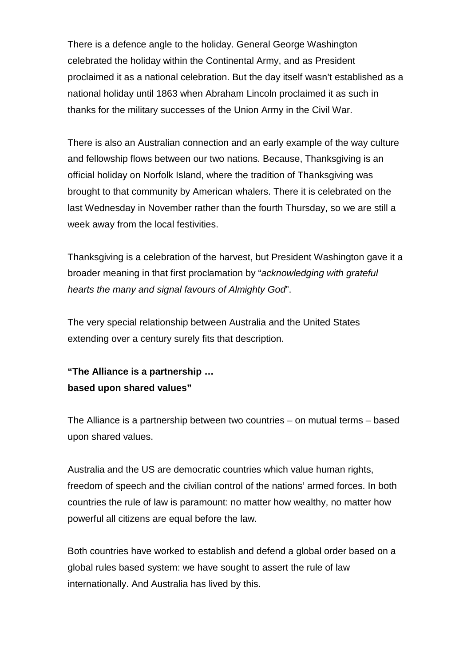There is a defence angle to the holiday. General George Washington celebrated the holiday within the Continental Army, and as President proclaimed it as a national celebration. But the day itself wasn't established as a national holiday until 1863 when Abraham Lincoln proclaimed it as such in thanks for the military successes of the Union Army in the Civil War.

There is also an Australian connection and an early example of the way culture and fellowship flows between our two nations. Because, Thanksgiving is an official holiday on Norfolk Island, where the tradition of Thanksgiving was brought to that community by American whalers. There it is celebrated on the last Wednesday in November rather than the fourth Thursday, so we are still a week away from the local festivities.

Thanksgiving is a celebration of the harvest, but President Washington gave it a broader meaning in that first proclamation by "*acknowledging with grateful hearts the many and signal favours of Almighty God*".

The very special relationship between Australia and the United States extending over a century surely fits that description.

# **"The Alliance is a partnership … based upon shared values"**

The Alliance is a partnership between two countries – on mutual terms – based upon shared values.

Australia and the US are democratic countries which value human rights, freedom of speech and the civilian control of the nations' armed forces. In both countries the rule of law is paramount: no matter how wealthy, no matter how powerful all citizens are equal before the law.

Both countries have worked to establish and defend a global order based on a global rules based system: we have sought to assert the rule of law internationally. And Australia has lived by this.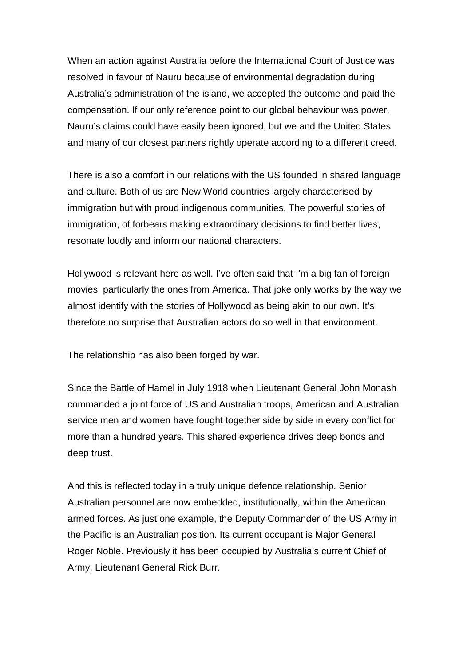When an action against Australia before the International Court of Justice was resolved in favour of Nauru because of environmental degradation during Australia's administration of the island, we accepted the outcome and paid the compensation. If our only reference point to our global behaviour was power, Nauru's claims could have easily been ignored, but we and the United States and many of our closest partners rightly operate according to a different creed.

There is also a comfort in our relations with the US founded in shared language and culture. Both of us are New World countries largely characterised by immigration but with proud indigenous communities. The powerful stories of immigration, of forbears making extraordinary decisions to find better lives, resonate loudly and inform our national characters.

Hollywood is relevant here as well. I've often said that I'm a big fan of foreign movies, particularly the ones from America. That joke only works by the way we almost identify with the stories of Hollywood as being akin to our own. It's therefore no surprise that Australian actors do so well in that environment.

The relationship has also been forged by war.

Since the Battle of Hamel in July 1918 when Lieutenant General John Monash commanded a joint force of US and Australian troops, American and Australian service men and women have fought together side by side in every conflict for more than a hundred years. This shared experience drives deep bonds and deep trust.

And this is reflected today in a truly unique defence relationship. Senior Australian personnel are now embedded, institutionally, within the American armed forces. As just one example, the Deputy Commander of the US Army in the Pacific is an Australian position. Its current occupant is Major General Roger Noble. Previously it has been occupied by Australia's current Chief of Army, Lieutenant General Rick Burr.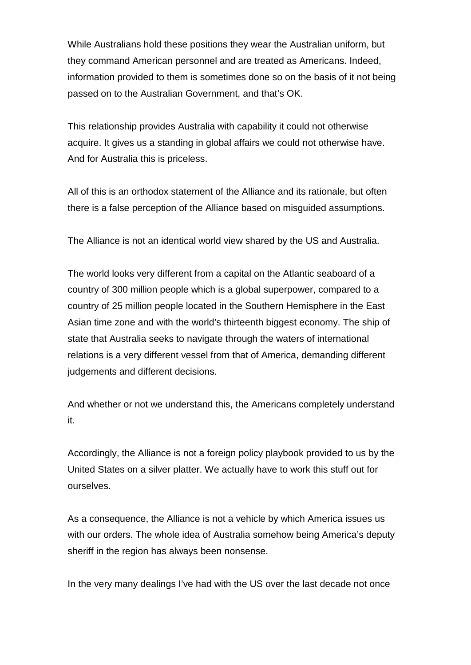While Australians hold these positions they wear the Australian uniform, but they command American personnel and are treated as Americans. Indeed, information provided to them is sometimes done so on the basis of it not being passed on to the Australian Government, and that's OK.

This relationship provides Australia with capability it could not otherwise acquire. It gives us a standing in global affairs we could not otherwise have. And for Australia this is priceless.

All of this is an orthodox statement of the Alliance and its rationale, but often there is a false perception of the Alliance based on misguided assumptions.

The Alliance is not an identical world view shared by the US and Australia.

The world looks very different from a capital on the Atlantic seaboard of a country of 300 million people which is a global superpower, compared to a country of 25 million people located in the Southern Hemisphere in the East Asian time zone and with the world's thirteenth biggest economy. The ship of state that Australia seeks to navigate through the waters of international relations is a very different vessel from that of America, demanding different judgements and different decisions.

And whether or not we understand this, the Americans completely understand it.

Accordingly, the Alliance is not a foreign policy playbook provided to us by the United States on a silver platter. We actually have to work this stuff out for ourselves.

As a consequence, the Alliance is not a vehicle by which America issues us with our orders. The whole idea of Australia somehow being America's deputy sheriff in the region has always been nonsense.

In the very many dealings I've had with the US over the last decade not once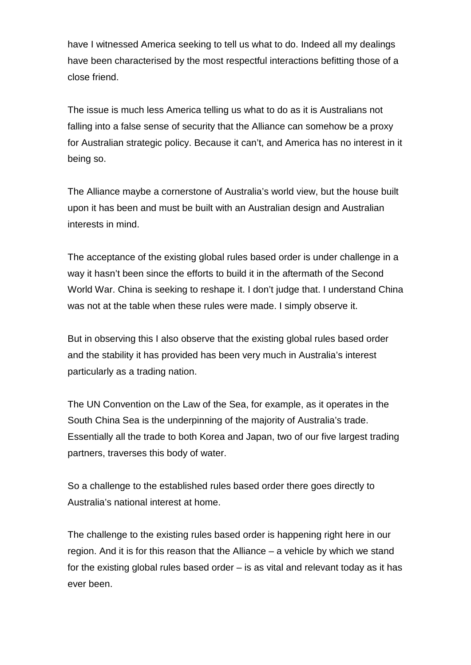have I witnessed America seeking to tell us what to do. Indeed all my dealings have been characterised by the most respectful interactions befitting those of a close friend.

The issue is much less America telling us what to do as it is Australians not falling into a false sense of security that the Alliance can somehow be a proxy for Australian strategic policy. Because it can't, and America has no interest in it being so.

The Alliance maybe a cornerstone of Australia's world view, but the house built upon it has been and must be built with an Australian design and Australian interests in mind.

The acceptance of the existing global rules based order is under challenge in a way it hasn't been since the efforts to build it in the aftermath of the Second World War. China is seeking to reshape it. I don't judge that. I understand China was not at the table when these rules were made. I simply observe it.

But in observing this I also observe that the existing global rules based order and the stability it has provided has been very much in Australia's interest particularly as a trading nation.

The UN Convention on the Law of the Sea, for example, as it operates in the South China Sea is the underpinning of the majority of Australia's trade. Essentially all the trade to both Korea and Japan, two of our five largest trading partners, traverses this body of water.

So a challenge to the established rules based order there goes directly to Australia's national interest at home.

The challenge to the existing rules based order is happening right here in our region. And it is for this reason that the Alliance – a vehicle by which we stand for the existing global rules based order – is as vital and relevant today as it has ever been.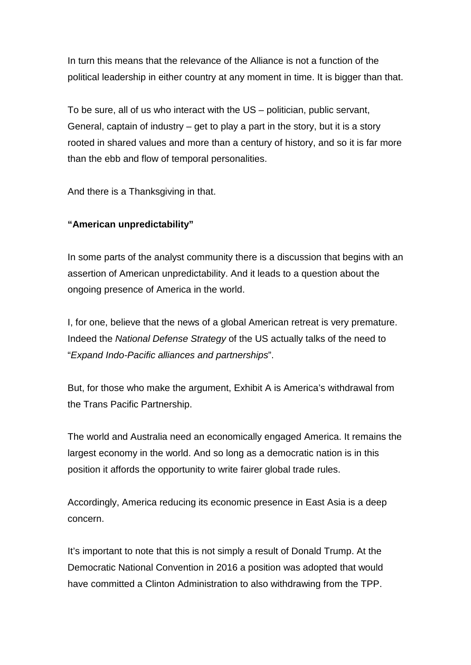In turn this means that the relevance of the Alliance is not a function of the political leadership in either country at any moment in time. It is bigger than that.

To be sure, all of us who interact with the US – politician, public servant, General, captain of industry – get to play a part in the story, but it is a story rooted in shared values and more than a century of history, and so it is far more than the ebb and flow of temporal personalities.

And there is a Thanksgiving in that.

### **"American unpredictability"**

In some parts of the analyst community there is a discussion that begins with an assertion of American unpredictability. And it leads to a question about the ongoing presence of America in the world.

I, for one, believe that the news of a global American retreat is very premature. Indeed the *National Defense Strategy* of the US actually talks of the need to "*Expand Indo-Pacific alliances and partnerships*".

But, for those who make the argument, Exhibit A is America's withdrawal from the Trans Pacific Partnership.

The world and Australia need an economically engaged America. It remains the largest economy in the world. And so long as a democratic nation is in this position it affords the opportunity to write fairer global trade rules.

Accordingly, America reducing its economic presence in East Asia is a deep concern.

It's important to note that this is not simply a result of Donald Trump. At the Democratic National Convention in 2016 a position was adopted that would have committed a Clinton Administration to also withdrawing from the TPP.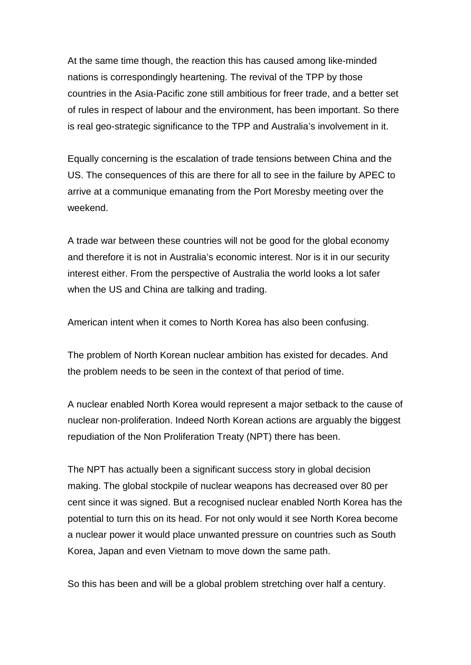At the same time though, the reaction this has caused among like-minded nations is correspondingly heartening. The revival of the TPP by those countries in the Asia-Pacific zone still ambitious for freer trade, and a better set of rules in respect of labour and the environment, has been important. So there is real geo-strategic significance to the TPP and Australia's involvement in it.

Equally concerning is the escalation of trade tensions between China and the US. The consequences of this are there for all to see in the failure by APEC to arrive at a communique emanating from the Port Moresby meeting over the weekend.

A trade war between these countries will not be good for the global economy and therefore it is not in Australia's economic interest. Nor is it in our security interest either. From the perspective of Australia the world looks a lot safer when the US and China are talking and trading.

American intent when it comes to North Korea has also been confusing.

The problem of North Korean nuclear ambition has existed for decades. And the problem needs to be seen in the context of that period of time.

A nuclear enabled North Korea would represent a major setback to the cause of nuclear non-proliferation. Indeed North Korean actions are arguably the biggest repudiation of the Non Proliferation Treaty (NPT) there has been.

The NPT has actually been a significant success story in global decision making. The global stockpile of nuclear weapons has decreased over 80 per cent since it was signed. But a recognised nuclear enabled North Korea has the potential to turn this on its head. For not only would it see North Korea become a nuclear power it would place unwanted pressure on countries such as South Korea, Japan and even Vietnam to move down the same path.

So this has been and will be a global problem stretching over half a century.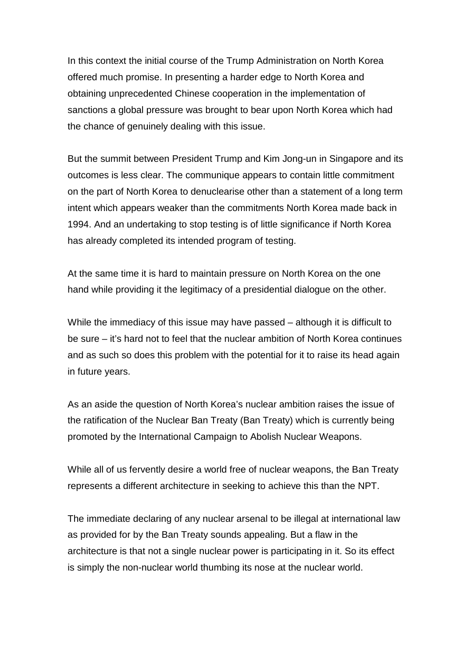In this context the initial course of the Trump Administration on North Korea offered much promise. In presenting a harder edge to North Korea and obtaining unprecedented Chinese cooperation in the implementation of sanctions a global pressure was brought to bear upon North Korea which had the chance of genuinely dealing with this issue.

But the summit between President Trump and Kim Jong-un in Singapore and its outcomes is less clear. The communique appears to contain little commitment on the part of North Korea to denuclearise other than a statement of a long term intent which appears weaker than the commitments North Korea made back in 1994. And an undertaking to stop testing is of little significance if North Korea has already completed its intended program of testing.

At the same time it is hard to maintain pressure on North Korea on the one hand while providing it the legitimacy of a presidential dialogue on the other.

While the immediacy of this issue may have passed – although it is difficult to be sure – it's hard not to feel that the nuclear ambition of North Korea continues and as such so does this problem with the potential for it to raise its head again in future years.

As an aside the question of North Korea's nuclear ambition raises the issue of the ratification of the Nuclear Ban Treaty (Ban Treaty) which is currently being promoted by the International Campaign to Abolish Nuclear Weapons.

While all of us fervently desire a world free of nuclear weapons, the Ban Treaty represents a different architecture in seeking to achieve this than the NPT.

The immediate declaring of any nuclear arsenal to be illegal at international law as provided for by the Ban Treaty sounds appealing. But a flaw in the architecture is that not a single nuclear power is participating in it. So its effect is simply the non-nuclear world thumbing its nose at the nuclear world.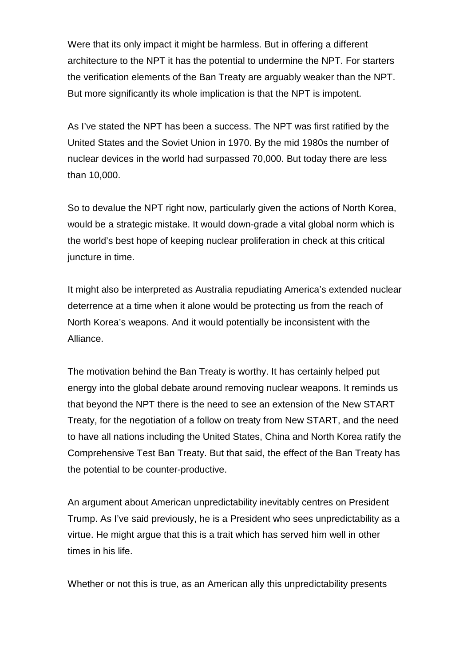Were that its only impact it might be harmless. But in offering a different architecture to the NPT it has the potential to undermine the NPT. For starters the verification elements of the Ban Treaty are arguably weaker than the NPT. But more significantly its whole implication is that the NPT is impotent.

As I've stated the NPT has been a success. The NPT was first ratified by the United States and the Soviet Union in 1970. By the mid 1980s the number of nuclear devices in the world had surpassed 70,000. But today there are less than 10,000.

So to devalue the NPT right now, particularly given the actions of North Korea, would be a strategic mistake. It would down-grade a vital global norm which is the world's best hope of keeping nuclear proliferation in check at this critical juncture in time.

It might also be interpreted as Australia repudiating America's extended nuclear deterrence at a time when it alone would be protecting us from the reach of North Korea's weapons. And it would potentially be inconsistent with the Alliance.

The motivation behind the Ban Treaty is worthy. It has certainly helped put energy into the global debate around removing nuclear weapons. It reminds us that beyond the NPT there is the need to see an extension of the New START Treaty, for the negotiation of a follow on treaty from New START, and the need to have all nations including the United States, China and North Korea ratify the Comprehensive Test Ban Treaty. But that said, the effect of the Ban Treaty has the potential to be counter-productive.

An argument about American unpredictability inevitably centres on President Trump. As I've said previously, he is a President who sees unpredictability as a virtue. He might argue that this is a trait which has served him well in other times in his life.

Whether or not this is true, as an American ally this unpredictability presents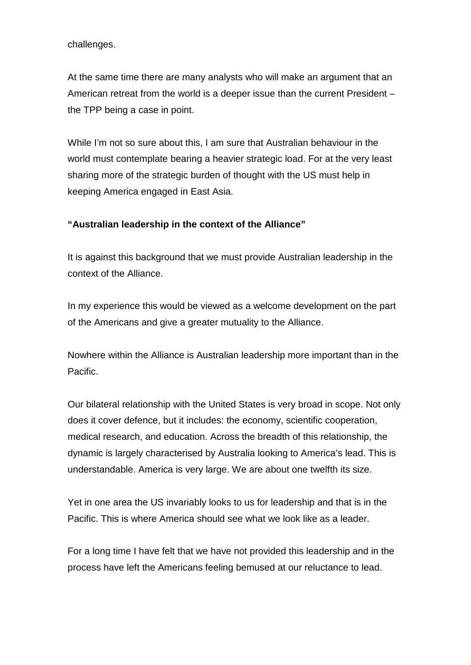challenges.

At the same time there are many analysts who will make an argument that an American retreat from the world is a deeper issue than the current President – the TPP being a case in point.

While I'm not so sure about this, I am sure that Australian behaviour in the world must contemplate bearing a heavier strategic load. For at the very least sharing more of the strategic burden of thought with the US must help in keeping America engaged in East Asia.

#### **"Australian leadership in the context of the Alliance"**

It is against this background that we must provide Australian leadership in the context of the Alliance.

In my experience this would be viewed as a welcome development on the part of the Americans and give a greater mutuality to the Alliance.

Nowhere within the Alliance is Australian leadership more important than in the Pacific.

Our bilateral relationship with the United States is very broad in scope. Not only does it cover defence, but it includes: the economy, scientific cooperation, medical research, and education. Across the breadth of this relationship, the dynamic is largely characterised by Australia looking to America's lead. This is understandable. America is very large. We are about one twelfth its size.

Yet in one area the US invariably looks to us for leadership and that is in the Pacific. This is where America should see what we look like as a leader.

For a long time I have felt that we have not provided this leadership and in the process have left the Americans feeling bemused at our reluctance to lead.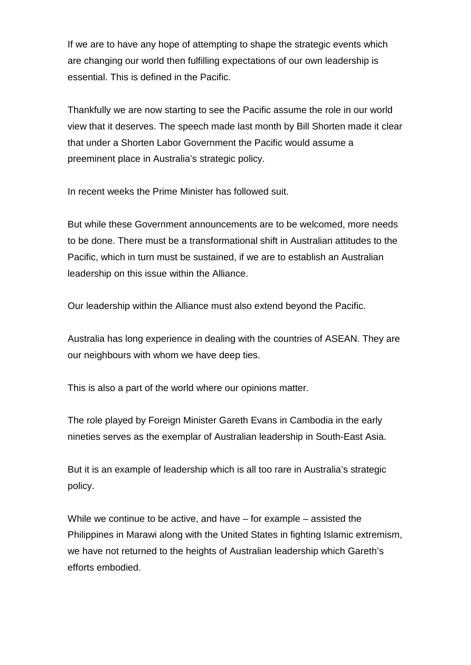If we are to have any hope of attempting to shape the strategic events which are changing our world then fulfilling expectations of our own leadership is essential. This is defined in the Pacific.

Thankfully we are now starting to see the Pacific assume the role in our world view that it deserves. The speech made last month by Bill Shorten made it clear that under a Shorten Labor Government the Pacific would assume a preeminent place in Australia's strategic policy.

In recent weeks the Prime Minister has followed suit.

But while these Government announcements are to be welcomed, more needs to be done. There must be a transformational shift in Australian attitudes to the Pacific, which in turn must be sustained, if we are to establish an Australian leadership on this issue within the Alliance.

Our leadership within the Alliance must also extend beyond the Pacific.

Australia has long experience in dealing with the countries of ASEAN. They are our neighbours with whom we have deep ties.

This is also a part of the world where our opinions matter.

The role played by Foreign Minister Gareth Evans in Cambodia in the early nineties serves as the exemplar of Australian leadership in South-East Asia.

But it is an example of leadership which is all too rare in Australia's strategic policy.

While we continue to be active, and have – for example – assisted the Philippines in Marawi along with the United States in fighting Islamic extremism, we have not returned to the heights of Australian leadership which Gareth's efforts embodied.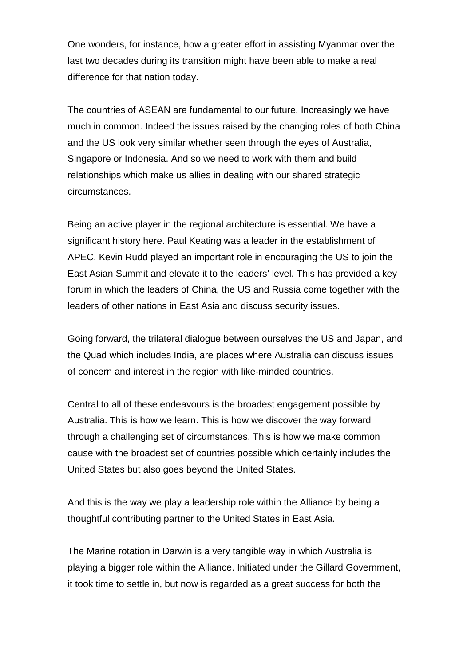One wonders, for instance, how a greater effort in assisting Myanmar over the last two decades during its transition might have been able to make a real difference for that nation today.

The countries of ASEAN are fundamental to our future. Increasingly we have much in common. Indeed the issues raised by the changing roles of both China and the US look very similar whether seen through the eyes of Australia, Singapore or Indonesia. And so we need to work with them and build relationships which make us allies in dealing with our shared strategic circumstances.

Being an active player in the regional architecture is essential. We have a significant history here. Paul Keating was a leader in the establishment of APEC. Kevin Rudd played an important role in encouraging the US to join the East Asian Summit and elevate it to the leaders' level. This has provided a key forum in which the leaders of China, the US and Russia come together with the leaders of other nations in East Asia and discuss security issues.

Going forward, the trilateral dialogue between ourselves the US and Japan, and the Quad which includes India, are places where Australia can discuss issues of concern and interest in the region with like-minded countries.

Central to all of these endeavours is the broadest engagement possible by Australia. This is how we learn. This is how we discover the way forward through a challenging set of circumstances. This is how we make common cause with the broadest set of countries possible which certainly includes the United States but also goes beyond the United States.

And this is the way we play a leadership role within the Alliance by being a thoughtful contributing partner to the United States in East Asia.

The Marine rotation in Darwin is a very tangible way in which Australia is playing a bigger role within the Alliance. Initiated under the Gillard Government, it took time to settle in, but now is regarded as a great success for both the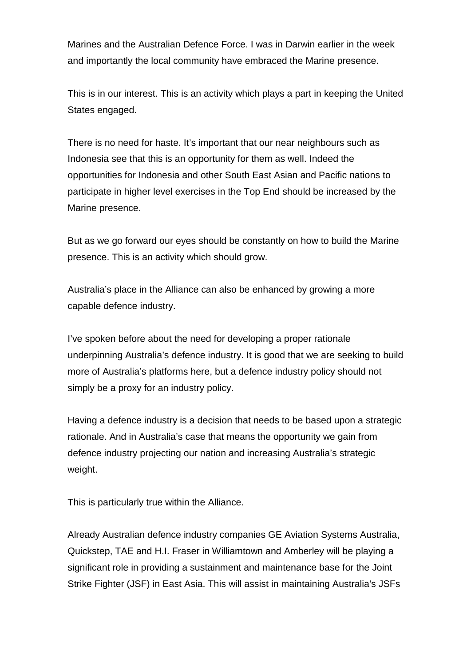Marines and the Australian Defence Force. I was in Darwin earlier in the week and importantly the local community have embraced the Marine presence.

This is in our interest. This is an activity which plays a part in keeping the United States engaged.

There is no need for haste. It's important that our near neighbours such as Indonesia see that this is an opportunity for them as well. Indeed the opportunities for Indonesia and other South East Asian and Pacific nations to participate in higher level exercises in the Top End should be increased by the Marine presence.

But as we go forward our eyes should be constantly on how to build the Marine presence. This is an activity which should grow.

Australia's place in the Alliance can also be enhanced by growing a more capable defence industry.

I've spoken before about the need for developing a proper rationale underpinning Australia's defence industry. It is good that we are seeking to build more of Australia's platforms here, but a defence industry policy should not simply be a proxy for an industry policy.

Having a defence industry is a decision that needs to be based upon a strategic rationale. And in Australia's case that means the opportunity we gain from defence industry projecting our nation and increasing Australia's strategic weight.

This is particularly true within the Alliance.

Already Australian defence industry companies GE Aviation Systems Australia, Quickstep, TAE and H.I. Fraser in Williamtown and Amberley will be playing a significant role in providing a sustainment and maintenance base for the Joint Strike Fighter (JSF) in East Asia. This will assist in maintaining Australia's JSFs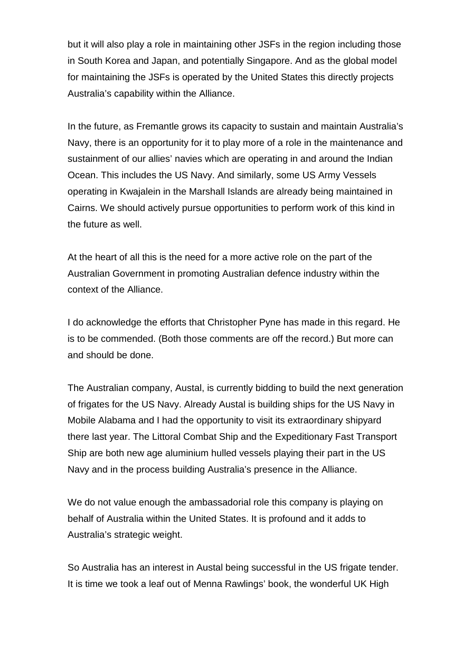but it will also play a role in maintaining other JSFs in the region including those in South Korea and Japan, and potentially Singapore. And as the global model for maintaining the JSFs is operated by the United States this directly projects Australia's capability within the Alliance.

In the future, as Fremantle grows its capacity to sustain and maintain Australia's Navy, there is an opportunity for it to play more of a role in the maintenance and sustainment of our allies' navies which are operating in and around the Indian Ocean. This includes the US Navy. And similarly, some US Army Vessels operating in Kwajalein in the Marshall Islands are already being maintained in Cairns. We should actively pursue opportunities to perform work of this kind in the future as well.

At the heart of all this is the need for a more active role on the part of the Australian Government in promoting Australian defence industry within the context of the Alliance.

I do acknowledge the efforts that Christopher Pyne has made in this regard. He is to be commended. (Both those comments are off the record.) But more can and should be done.

The Australian company, Austal, is currently bidding to build the next generation of frigates for the US Navy. Already Austal is building ships for the US Navy in Mobile Alabama and I had the opportunity to visit its extraordinary shipyard there last year. The Littoral Combat Ship and the Expeditionary Fast Transport Ship are both new age aluminium hulled vessels playing their part in the US Navy and in the process building Australia's presence in the Alliance.

We do not value enough the ambassadorial role this company is playing on behalf of Australia within the United States. It is profound and it adds to Australia's strategic weight.

So Australia has an interest in Austal being successful in the US frigate tender. It is time we took a leaf out of Menna Rawlings' book, the wonderful UK High